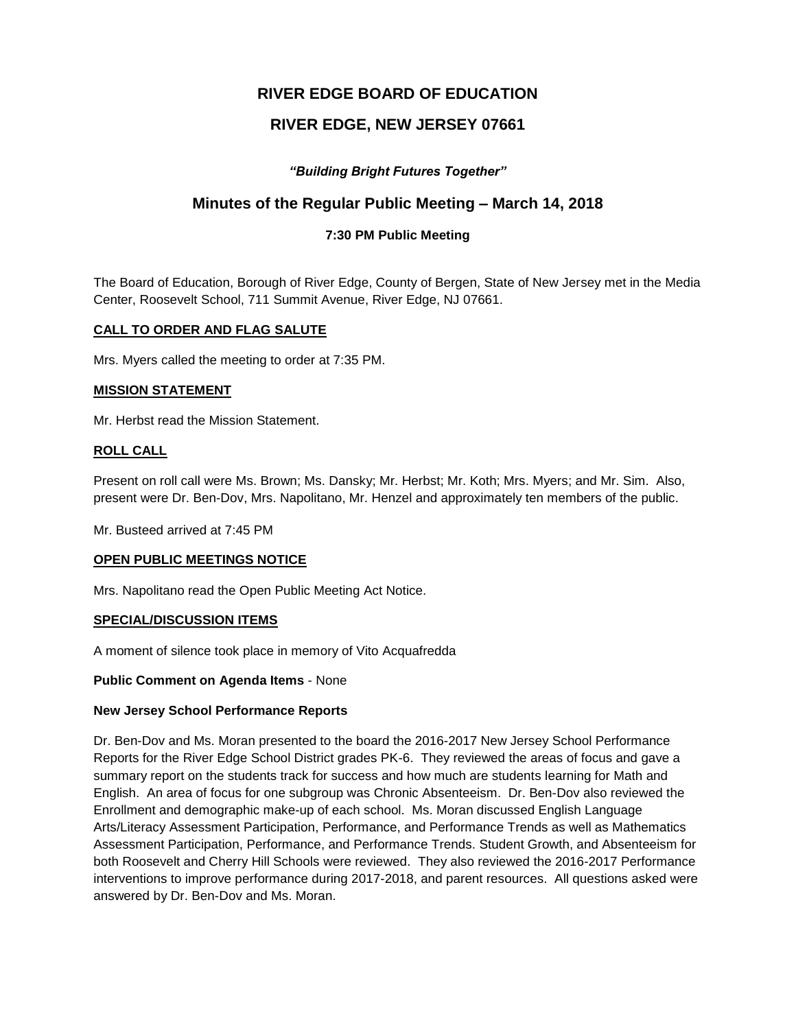# **RIVER EDGE BOARD OF EDUCATION**

# **RIVER EDGE, NEW JERSEY 07661**

## *"Building Bright Futures Together"*

## **Minutes of the Regular Public Meeting – March 14, 2018**

## **7:30 PM Public Meeting**

The Board of Education, Borough of River Edge, County of Bergen, State of New Jersey met in the Media Center, Roosevelt School, 711 Summit Avenue, River Edge, NJ 07661.

### **CALL TO ORDER AND FLAG SALUTE**

Mrs. Myers called the meeting to order at 7:35 PM.

#### **MISSION STATEMENT**

Mr. Herbst read the Mission Statement.

#### **ROLL CALL**

Present on roll call were Ms. Brown; Ms. Dansky; Mr. Herbst; Mr. Koth; Mrs. Myers; and Mr. Sim. Also, present were Dr. Ben-Dov, Mrs. Napolitano, Mr. Henzel and approximately ten members of the public.

Mr. Busteed arrived at 7:45 PM

#### **OPEN PUBLIC MEETINGS NOTICE**

Mrs. Napolitano read the Open Public Meeting Act Notice.

#### **SPECIAL/DISCUSSION ITEMS**

A moment of silence took place in memory of Vito Acquafredda

#### **Public Comment on Agenda Items** - None

#### **New Jersey School Performance Reports**

Dr. Ben-Dov and Ms. Moran presented to the board the 2016-2017 New Jersey School Performance Reports for the River Edge School District grades PK-6. They reviewed the areas of focus and gave a summary report on the students track for success and how much are students learning for Math and English. An area of focus for one subgroup was Chronic Absenteeism. Dr. Ben-Dov also reviewed the Enrollment and demographic make-up of each school. Ms. Moran discussed English Language Arts/Literacy Assessment Participation, Performance, and Performance Trends as well as Mathematics Assessment Participation, Performance, and Performance Trends. Student Growth, and Absenteeism for both Roosevelt and Cherry Hill Schools were reviewed. They also reviewed the 2016-2017 Performance interventions to improve performance during 2017-2018, and parent resources. All questions asked were answered by Dr. Ben-Dov and Ms. Moran.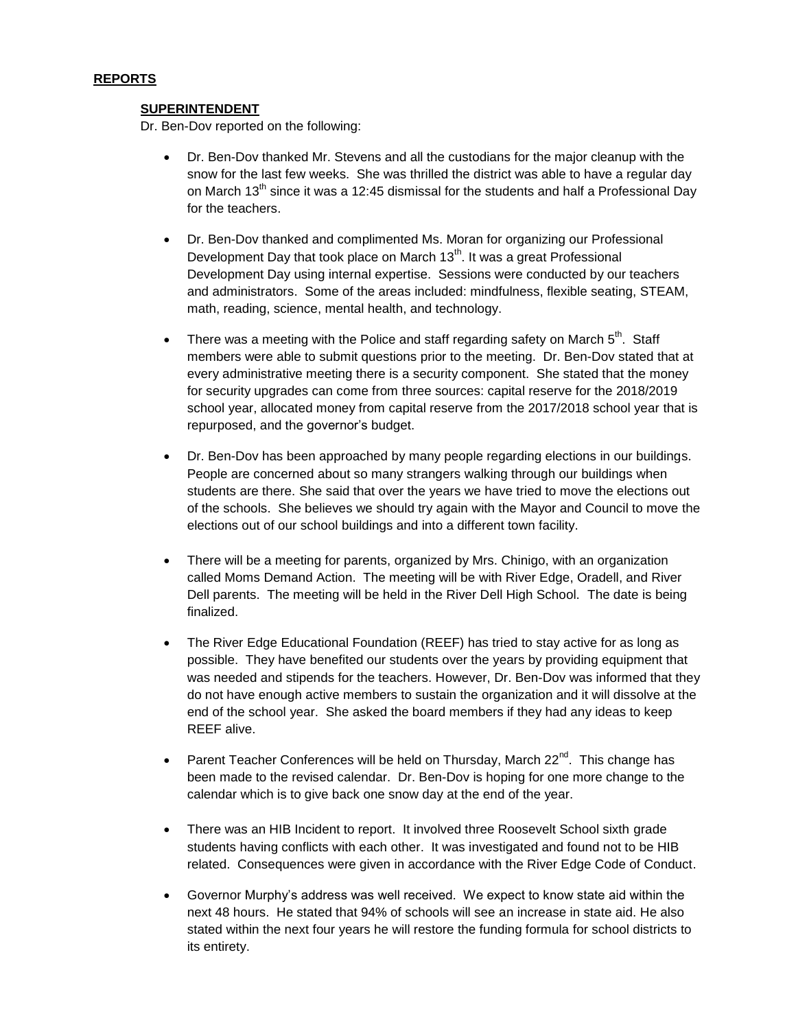### **SUPERINTENDENT**

Dr. Ben-Dov reported on the following:

- Dr. Ben-Dov thanked Mr. Stevens and all the custodians for the major cleanup with the snow for the last few weeks. She was thrilled the district was able to have a regular day on March  $13<sup>th</sup>$  since it was a 12:45 dismissal for the students and half a Professional Day for the teachers.
- Dr. Ben-Dov thanked and complimented Ms. Moran for organizing our Professional Development Day that took place on March 13<sup>th</sup>. It was a great Professional Development Day using internal expertise. Sessions were conducted by our teachers and administrators. Some of the areas included: mindfulness, flexible seating, STEAM, math, reading, science, mental health, and technology.
- There was a meeting with the Police and staff regarding safety on March  $5^{th}$ . Staff members were able to submit questions prior to the meeting. Dr. Ben-Dov stated that at every administrative meeting there is a security component. She stated that the money for security upgrades can come from three sources: capital reserve for the 2018/2019 school year, allocated money from capital reserve from the 2017/2018 school year that is repurposed, and the governor's budget.
- Dr. Ben-Dov has been approached by many people regarding elections in our buildings. People are concerned about so many strangers walking through our buildings when students are there. She said that over the years we have tried to move the elections out of the schools. She believes we should try again with the Mayor and Council to move the elections out of our school buildings and into a different town facility.
- There will be a meeting for parents, organized by Mrs. Chinigo, with an organization called Moms Demand Action. The meeting will be with River Edge, Oradell, and River Dell parents. The meeting will be held in the River Dell High School. The date is being finalized.
- The River Edge Educational Foundation (REEF) has tried to stay active for as long as possible. They have benefited our students over the years by providing equipment that was needed and stipends for the teachers. However, Dr. Ben-Dov was informed that they do not have enough active members to sustain the organization and it will dissolve at the end of the school year. She asked the board members if they had any ideas to keep REEF alive.
- **Parent Teacher Conferences will be held on Thursday, March 22<sup>nd</sup>. This change has** been made to the revised calendar. Dr. Ben-Dov is hoping for one more change to the calendar which is to give back one snow day at the end of the year.
- There was an HIB Incident to report. It involved three Roosevelt School sixth grade students having conflicts with each other. It was investigated and found not to be HIB related. Consequences were given in accordance with the River Edge Code of Conduct.
- Governor Murphy's address was well received. We expect to know state aid within the next 48 hours. He stated that 94% of schools will see an increase in state aid. He also stated within the next four years he will restore the funding formula for school districts to its entirety.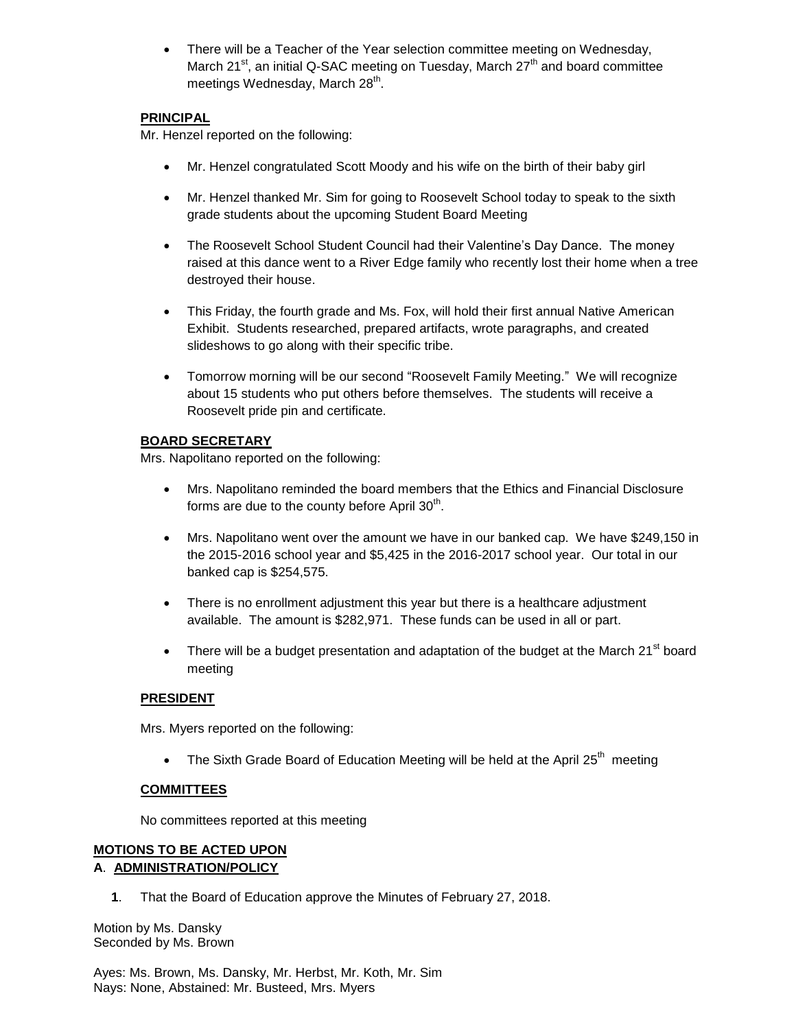There will be a Teacher of the Year selection committee meeting on Wednesday, March 21 $\mathrm{^{st}}$ , an initial Q-SAC meeting on Tuesday, March  $27\mathrm{^{th}}$  and board committee meetings Wednesday, March 28<sup>th</sup>.

## **PRINCIPAL**

Mr. Henzel reported on the following:

- Mr. Henzel congratulated Scott Moody and his wife on the birth of their baby girl
- Mr. Henzel thanked Mr. Sim for going to Roosevelt School today to speak to the sixth grade students about the upcoming Student Board Meeting
- The Roosevelt School Student Council had their Valentine's Day Dance. The money raised at this dance went to a River Edge family who recently lost their home when a tree destroyed their house.
- This Friday, the fourth grade and Ms. Fox, will hold their first annual Native American Exhibit. Students researched, prepared artifacts, wrote paragraphs, and created slideshows to go along with their specific tribe.
- Tomorrow morning will be our second "Roosevelt Family Meeting." We will recognize about 15 students who put others before themselves. The students will receive a Roosevelt pride pin and certificate.

## **BOARD SECRETARY**

Mrs. Napolitano reported on the following:

- Mrs. Napolitano reminded the board members that the Ethics and Financial Disclosure forms are due to the county before April 30<sup>th</sup>.
- Mrs. Napolitano went over the amount we have in our banked cap. We have \$249,150 in the 2015-2016 school year and \$5,425 in the 2016-2017 school year. Our total in our banked cap is \$254,575.
- There is no enrollment adjustment this year but there is a healthcare adjustment available. The amount is \$282,971. These funds can be used in all or part.
- There will be a budget presentation and adaptation of the budget at the March  $21<sup>st</sup>$  board meeting

## **PRESIDENT**

Mrs. Myers reported on the following:

• The Sixth Grade Board of Education Meeting will be held at the April  $25<sup>th</sup>$  meeting

## **COMMITTEES**

No committees reported at this meeting

### **MOTIONS TO BE ACTED UPON A**. **ADMINISTRATION/POLICY**

**1**. That the Board of Education approve the Minutes of February 27, 2018.

Motion by Ms. Dansky Seconded by Ms. Brown

Ayes: Ms. Brown, Ms. Dansky, Mr. Herbst, Mr. Koth, Mr. Sim Nays: None, Abstained: Mr. Busteed, Mrs. Myers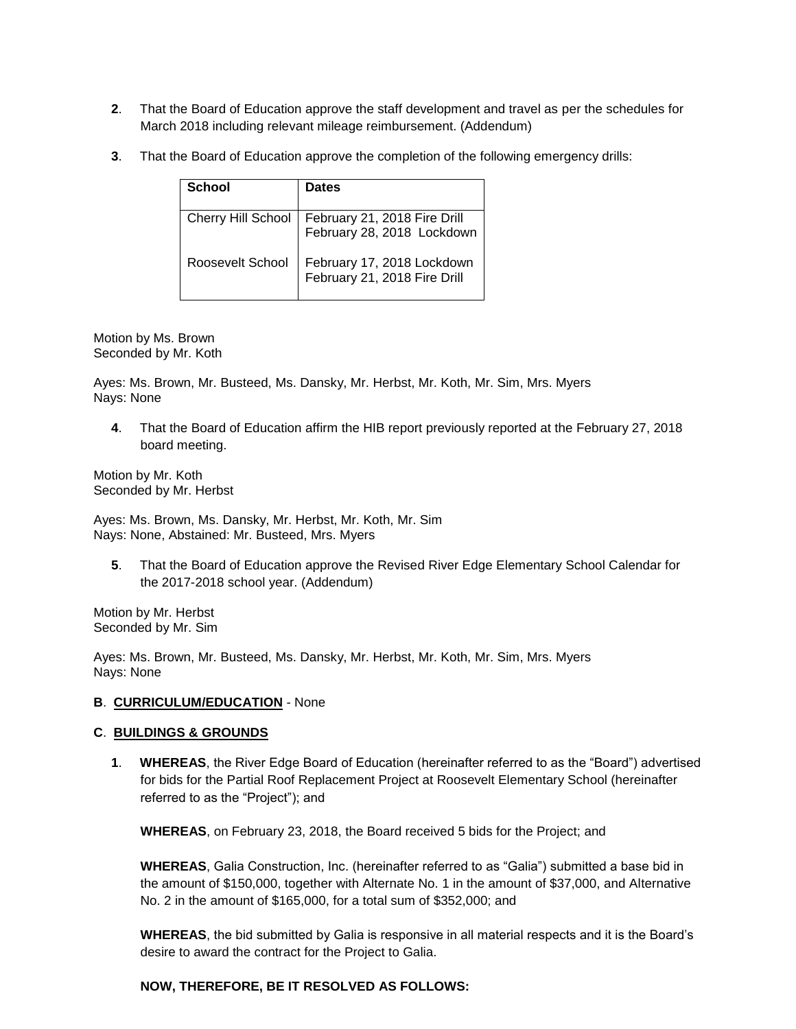- **2**. That the Board of Education approve the staff development and travel as per the schedules for March 2018 including relevant mileage reimbursement. (Addendum)
- **3**. That the Board of Education approve the completion of the following emergency drills:

| School             | <b>Dates</b>                                               |
|--------------------|------------------------------------------------------------|
| Cherry Hill School | February 21, 2018 Fire Drill<br>February 28, 2018 Lockdown |
| Roosevelt School   | February 17, 2018 Lockdown<br>February 21, 2018 Fire Drill |

Motion by Ms. Brown Seconded by Mr. Koth

Ayes: Ms. Brown, Mr. Busteed, Ms. Dansky, Mr. Herbst, Mr. Koth, Mr. Sim, Mrs. Myers Nays: None

**4**. That the Board of Education affirm the HIB report previously reported at the February 27, 2018 board meeting.

Motion by Mr. Koth Seconded by Mr. Herbst

Ayes: Ms. Brown, Ms. Dansky, Mr. Herbst, Mr. Koth, Mr. Sim Nays: None, Abstained: Mr. Busteed, Mrs. Myers

**5**. That the Board of Education approve the Revised River Edge Elementary School Calendar for the 2017-2018 school year. (Addendum)

Motion by Mr. Herbst Seconded by Mr. Sim

Ayes: Ms. Brown, Mr. Busteed, Ms. Dansky, Mr. Herbst, Mr. Koth, Mr. Sim, Mrs. Myers Nays: None

## **B**. **CURRICULUM/EDUCATION** - None

## **C**. **BUILDINGS & GROUNDS**

**1**. **WHEREAS**, the River Edge Board of Education (hereinafter referred to as the "Board") advertised for bids for the Partial Roof Replacement Project at Roosevelt Elementary School (hereinafter referred to as the "Project"); and

**WHEREAS**, on February 23, 2018, the Board received 5 bids for the Project; and

**WHEREAS**, Galia Construction, Inc. (hereinafter referred to as "Galia") submitted a base bid in the amount of \$150,000, together with Alternate No. 1 in the amount of \$37,000, and Alternative No. 2 in the amount of \$165,000, for a total sum of \$352,000; and

**WHEREAS**, the bid submitted by Galia is responsive in all material respects and it is the Board's desire to award the contract for the Project to Galia.

## **NOW, THEREFORE, BE IT RESOLVED AS FOLLOWS:**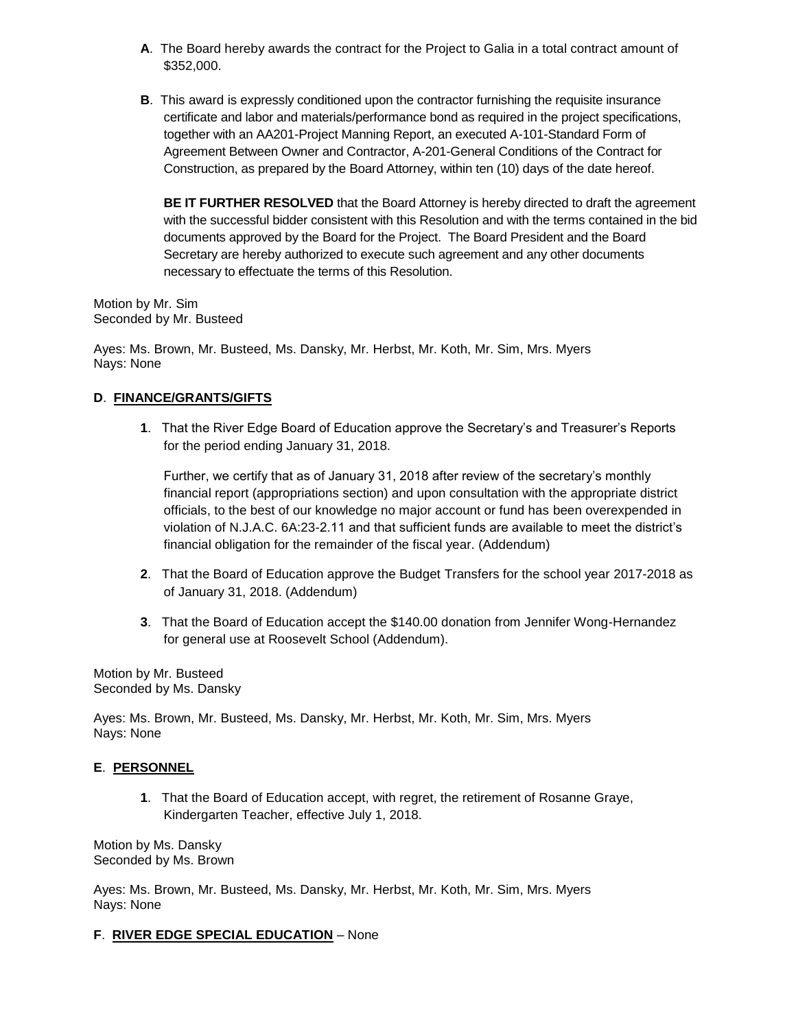- **A**. The Board hereby awards the contract for the Project to Galia in a total contract amount of \$352,000.
- **B**. This award is expressly conditioned upon the contractor furnishing the requisite insurance certificate and labor and materials/performance bond as required in the project specifications, together with an AA201-Project Manning Report, an executed A-101-Standard Form of Agreement Between Owner and Contractor, A-201-General Conditions of the Contract for Construction, as prepared by the Board Attorney, within ten (10) days of the date hereof.

**BE IT FURTHER RESOLVED** that the Board Attorney is hereby directed to draft the agreement with the successful bidder consistent with this Resolution and with the terms contained in the bid documents approved by the Board for the Project. The Board President and the Board Secretary are hereby authorized to execute such agreement and any other documents necessary to effectuate the terms of this Resolution.

Motion by Mr. Sim Seconded by Mr. Busteed

Ayes: Ms. Brown, Mr. Busteed, Ms. Dansky, Mr. Herbst, Mr. Koth, Mr. Sim, Mrs. Myers Nays: None

## **D**. **FINANCE/GRANTS/GIFTS**

**1**. That the River Edge Board of Education approve the Secretary's and Treasurer's Reports for the period ending January 31, 2018.

Further, we certify that as of January 31, 2018 after review of the secretary's monthly financial report (appropriations section) and upon consultation with the appropriate district officials, to the best of our knowledge no major account or fund has been overexpended in violation of N.J.A.C. 6A:23-2.11 and that sufficient funds are available to meet the district's financial obligation for the remainder of the fiscal year. (Addendum)

- **2**. That the Board of Education approve the Budget Transfers for the school year 2017-2018 as of January 31, 2018. (Addendum)
- **3**. That the Board of Education accept the \$140.00 donation from Jennifer Wong-Hernandez for general use at Roosevelt School (Addendum).

Motion by Mr. Busteed Seconded by Ms. Dansky

Ayes: Ms. Brown, Mr. Busteed, Ms. Dansky, Mr. Herbst, Mr. Koth, Mr. Sim, Mrs. Myers Nays: None

## **E**. **PERSONNEL**

**1**. That the Board of Education accept, with regret, the retirement of Rosanne Graye, Kindergarten Teacher, effective July 1, 2018.

Motion by Ms. Dansky Seconded by Ms. Brown

Ayes: Ms. Brown, Mr. Busteed, Ms. Dansky, Mr. Herbst, Mr. Koth, Mr. Sim, Mrs. Myers Nays: None

## **F**. **RIVER EDGE SPECIAL EDUCATION** – None